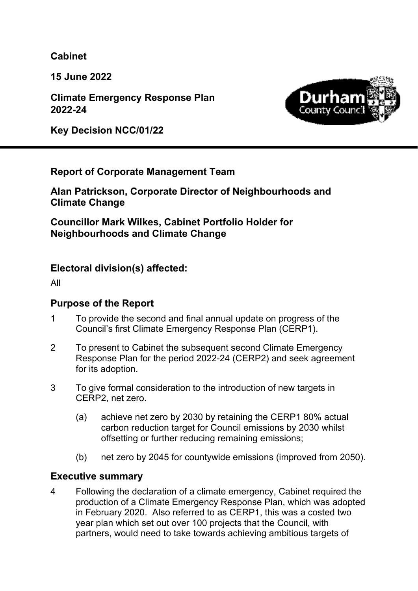**Cabinet** 

**15 June 2022** 

**Climate Emergency Response Plan 2022-24** 

**Key Decision NCC/01/22** 



# **Report of Corporate Management Team**

**Alan Patrickson, Corporate Director of Neighbourhoods and Climate Change** 

**Councillor Mark Wilkes, Cabinet Portfolio Holder for Neighbourhoods and Climate Change** 

# **Electoral division(s) affected:**

All

### **Purpose of the Report**

- 1 To provide the second and final annual update on progress of the Council's first Climate Emergency Response Plan (CERP1).
- 2 To present to Cabinet the subsequent second Climate Emergency Response Plan for the period 2022-24 (CERP2) and seek agreement for its adoption.
- 3 To give formal consideration to the introduction of new targets in CERP2, net zero.
	- (a) achieve net zero by 2030 by retaining the CERP1 80% actual carbon reduction target for Council emissions by 2030 whilst offsetting or further reducing remaining emissions;
	- (b) net zero by 2045 for countywide emissions (improved from 2050).

### **Executive summary**

4 Following the declaration of a climate emergency, Cabinet required the production of a Climate Emergency Response Plan, which was adopted in February 2020. Also referred to as CERP1, this was a costed two year plan which set out over 100 projects that the Council, with partners, would need to take towards achieving ambitious targets of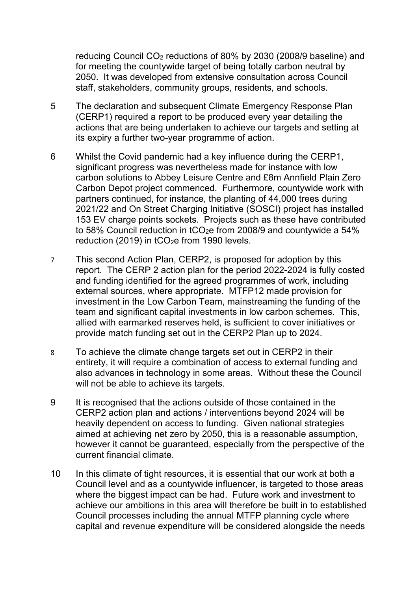reducing Council CO2 reductions of 80% by 2030 (2008/9 baseline) and for meeting the countywide target of being totally carbon neutral by 2050. It was developed from extensive consultation across Council staff, stakeholders, community groups, residents, and schools.

- 5 The declaration and subsequent Climate Emergency Response Plan (CERP1) required a report to be produced every year detailing the actions that are being undertaken to achieve our targets and setting at its expiry a further two-year programme of action.
- 6 Whilst the Covid pandemic had a key influence during the CERP1, significant progress was nevertheless made for instance with low carbon solutions to Abbey Leisure Centre and £8m Annfield Plain Zero Carbon Depot project commenced. Furthermore, countywide work with partners continued, for instance, the planting of 44,000 trees during 2021/22 and On Street Charging Initiative (SOSCI) project has installed 153 EV charge points sockets. Projects such as these have contributed to 58% Council reduction in tCO<sub>2</sub>e from 2008/9 and countywide a 54% reduction (2019) in tCO<sub>2</sub>e from 1990 levels.
- 7 This second Action Plan, CERP2, is proposed for adoption by this report. The CERP 2 action plan for the period 2022-2024 is fully costed and funding identified for the agreed programmes of work, including external sources, where appropriate. MTFP12 made provision for investment in the Low Carbon Team, mainstreaming the funding of the team and significant capital investments in low carbon schemes. This, allied with earmarked reserves held, is sufficient to cover initiatives or provide match funding set out in the CERP2 Plan up to 2024.
- 8 To achieve the climate change targets set out in CERP2 in their entirety, it will require a combination of access to external funding and also advances in technology in some areas. Without these the Council will not be able to achieve its targets.
- 9 It is recognised that the actions outside of those contained in the CERP2 action plan and actions / interventions beyond 2024 will be heavily dependent on access to funding. Given national strategies aimed at achieving net zero by 2050, this is a reasonable assumption, however it cannot be guaranteed, especially from the perspective of the current financial climate.
- 10 In this climate of tight resources, it is essential that our work at both a Council level and as a countywide influencer, is targeted to those areas where the biggest impact can be had. Future work and investment to achieve our ambitions in this area will therefore be built in to established Council processes including the annual MTFP planning cycle where capital and revenue expenditure will be considered alongside the needs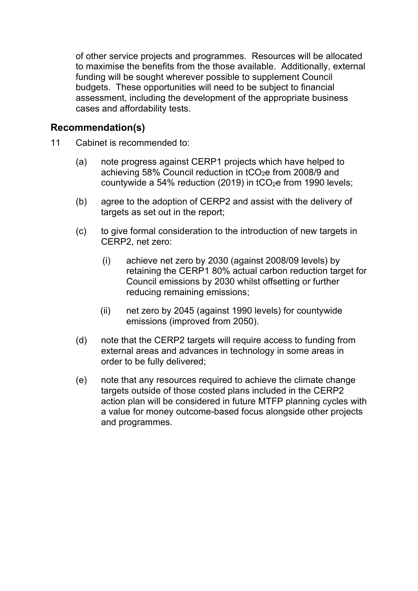of other service projects and programmes. Resources will be allocated to maximise the benefits from the those available. Additionally, external funding will be sought wherever possible to supplement Council budgets. These opportunities will need to be subject to financial assessment, including the development of the appropriate business cases and affordability tests.

#### **Recommendation(s)**

- 11 Cabinet is recommended to:
	- (a) note progress against CERP1 projects which have helped to achieving 58% Council reduction in  $tCO<sub>2</sub>e$  from 2008/9 and countywide a 54% reduction (2019) in  $tCO<sub>2</sub>e$  from 1990 levels;
	- (b) agree to the adoption of CERP2 and assist with the delivery of targets as set out in the report;
	- (c) to give formal consideration to the introduction of new targets in CERP2, net zero:
		- (i) achieve net zero by 2030 (against 2008/09 levels) by retaining the CERP1 80% actual carbon reduction target for Council emissions by 2030 whilst offsetting or further reducing remaining emissions;
		- (ii) net zero by 2045 (against 1990 levels) for countywide emissions (improved from 2050).
	- (d) note that the CERP2 targets will require access to funding from external areas and advances in technology in some areas in order to be fully delivered;
	- (e) note that any resources required to achieve the climate change targets outside of those costed plans included in the CERP2 action plan will be considered in future MTFP planning cycles with a value for money outcome-based focus alongside other projects and programmes.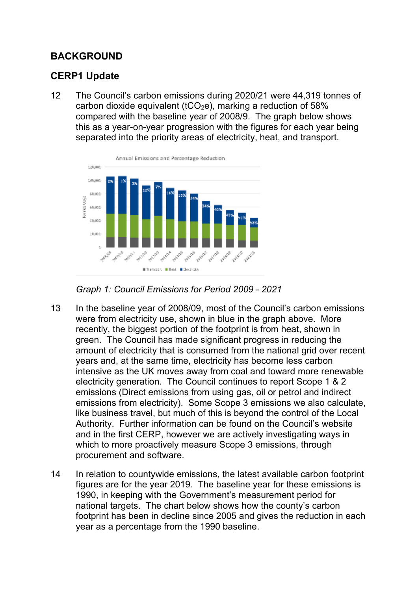# **BACKGROUND**

# **CERP1 Update**

12 The Council's carbon emissions during 2020/21 were 44,319 tonnes of carbon dioxide equivalent (tCO<sub>2</sub>e), marking a reduction of 58% compared with the baseline year of 2008/9. The graph below shows this as a year-on-year progression with the figures for each year being separated into the priority areas of electricity, heat, and transport.





- 13 In the baseline year of 2008/09, most of the Council's carbon emissions were from electricity use, shown in blue in the graph above. More recently, the biggest portion of the footprint is from heat, shown in green. The Council has made significant progress in reducing the amount of electricity that is consumed from the national grid over recent years and, at the same time, electricity has become less carbon intensive as the UK moves away from coal and toward more renewable electricity generation. The Council continues to report Scope 1 & 2 emissions (Direct emissions from using gas, oil or petrol and indirect emissions from electricity). Some Scope 3 emissions we also calculate, like business travel, but much of this is beyond the control of the Local Authority. Further information can be found on the Council's website and in the first CERP, however we are actively investigating ways in which to more proactively measure Scope 3 emissions, through procurement and software.
- 14 In relation to countywide emissions, the latest available carbon footprint figures are for the year 2019. The baseline year for these emissions is 1990, in keeping with the Government's measurement period for national targets. The chart below shows how the county's carbon footprint has been in decline since 2005 and gives the reduction in each year as a percentage from the 1990 baseline.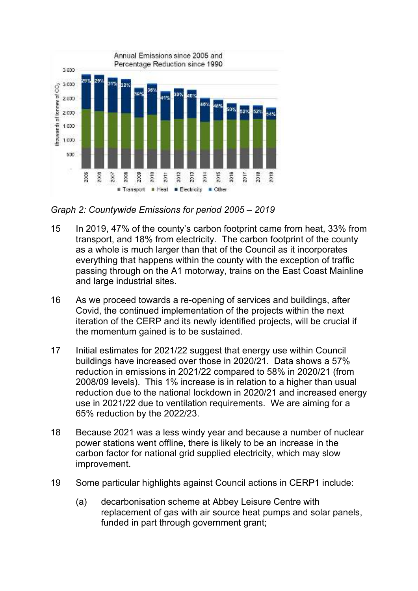

*Graph 2: Countywide Emissions for period 2005 – 2019* 

- 15 In 2019, 47% of the county's carbon footprint came from heat, 33% from transport, and 18% from electricity. The carbon footprint of the county as a whole is much larger than that of the Council as it incorporates everything that happens within the county with the exception of traffic passing through on the A1 motorway, trains on the East Coast Mainline and large industrial sites.
- 16 As we proceed towards a re-opening of services and buildings, after Covid, the continued implementation of the projects within the next iteration of the CERP and its newly identified projects, will be crucial if the momentum gained is to be sustained.
- 17 Initial estimates for 2021/22 suggest that energy use within Council buildings have increased over those in 2020/21. Data shows a 57% reduction in emissions in 2021/22 compared to 58% in 2020/21 (from 2008/09 levels). This 1% increase is in relation to a higher than usual reduction due to the national lockdown in 2020/21 and increased energy use in 2021/22 due to ventilation requirements. We are aiming for a 65% reduction by the 2022/23.
- 18 Because 2021 was a less windy year and because a number of nuclear power stations went offline, there is likely to be an increase in the carbon factor for national grid supplied electricity, which may slow improvement.
- 19 Some particular highlights against Council actions in CERP1 include:
	- (a) decarbonisation scheme at Abbey Leisure Centre with replacement of gas with air source heat pumps and solar panels, funded in part through government grant: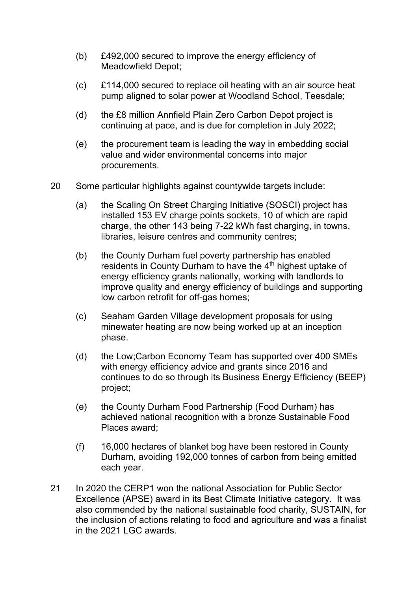- (b) £492,000 secured to improve the energy efficiency of Meadowfield Depot;
- (c) £114,000 secured to replace oil heating with an air source heat pump aligned to solar power at Woodland School, Teesdale;
- (d) the £8 million Annfield Plain Zero Carbon Depot project is continuing at pace, and is due for completion in July 2022;
- (e) the procurement team is leading the way in embedding social value and wider environmental concerns into major procurements.
- 20 Some particular highlights against countywide targets include:
	- (a) the Scaling On Street Charging Initiative (SOSCI) project has installed 153 EV charge points sockets, 10 of which are rapid charge, the other 143 being 7-22 kWh fast charging, in towns, libraries, leisure centres and community centres;
	- (b) the County Durham fuel poverty partnership has enabled residents in County Durham to have the 4<sup>th</sup> highest uptake of energy efficiency grants nationally, working with landlords to improve quality and energy efficiency of buildings and supporting low carbon retrofit for off-gas homes;
	- (c) Seaham Garden Village development proposals for using minewater heating are now being worked up at an inception phase.
	- (d) the Low;Carbon Economy Team has supported over 400 SMEs with energy efficiency advice and grants since 2016 and continues to do so through its Business Energy Efficiency (BEEP) project;
	- (e) the County Durham Food Partnership (Food Durham) has achieved national recognition with a bronze Sustainable Food Places award;
	- (f) 16,000 hectares of blanket bog have been restored in County Durham, avoiding 192,000 tonnes of carbon from being emitted each year.
- 21 In 2020 the CERP1 won the national Association for Public Sector Excellence (APSE) award in its Best Climate Initiative category. It was also commended by the national sustainable food charity, SUSTAIN, for the inclusion of actions relating to food and agriculture and was a finalist in the 2021 LGC awards.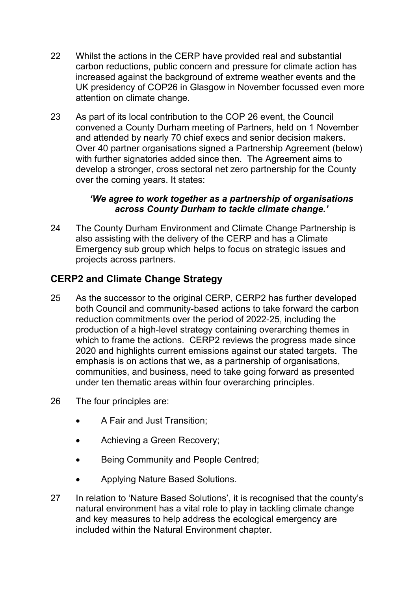- 22 Whilst the actions in the CERP have provided real and substantial carbon reductions, public concern and pressure for climate action has increased against the background of extreme weather events and the UK presidency of COP26 in Glasgow in November focussed even more attention on climate change.
- 23 As part of its local contribution to the COP 26 event, the Council convened a County Durham meeting of Partners, held on 1 November and attended by nearly 70 chief execs and senior decision makers. Over 40 partner organisations signed a Partnership Agreement (below) with further signatories added since then. The Agreement aims to develop a stronger, cross sectoral net zero partnership for the County over the coming years. It states:

#### *'We agree to work together as a partnership of organisations across County Durham to tackle climate change.'*

24 The County Durham Environment and Climate Change Partnership is also assisting with the delivery of the CERP and has a Climate Emergency sub group which helps to focus on strategic issues and projects across partners.

# **CERP2 and Climate Change Strategy**

- 25 As the successor to the original CERP, CERP2 has further developed both Council and community-based actions to take forward the carbon reduction commitments over the period of 2022-25, including the production of a high-level strategy containing overarching themes in which to frame the actions. CERP2 reviews the progress made since 2020 and highlights current emissions against our stated targets. The emphasis is on actions that we, as a partnership of organisations, communities, and business, need to take going forward as presented under ten thematic areas within four overarching principles.
- 26 The four principles are:
	- A Fair and Just Transition;
	- Achieving a Green Recovery;
	- Being Community and People Centred;
	- Applying Nature Based Solutions.
- 27 In relation to 'Nature Based Solutions', it is recognised that the county's natural environment has a vital role to play in tackling climate change and key measures to help address the ecological emergency are included within the Natural Environment chapter.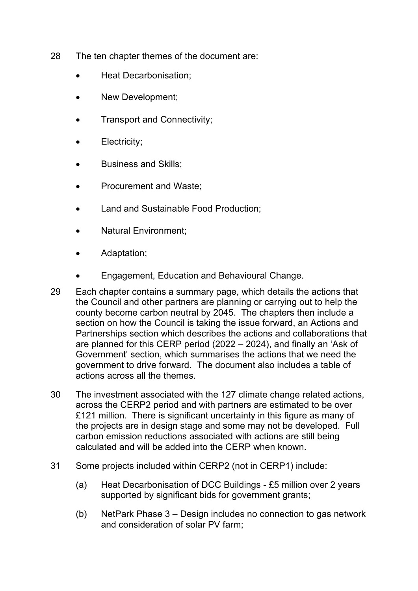- 28 The ten chapter themes of the document are:
	- Heat Decarbonisation;
	- New Development;
	- Transport and Connectivity;
	- Electricity;
	- Business and Skills;
	- Procurement and Waste;
	- Land and Sustainable Food Production;
	- Natural Environment;
	- Adaptation;
	- Engagement, Education and Behavioural Change.
- 29 Each chapter contains a summary page, which details the actions that the Council and other partners are planning or carrying out to help the county become carbon neutral by 2045. The chapters then include a section on how the Council is taking the issue forward, an Actions and Partnerships section which describes the actions and collaborations that are planned for this CERP period (2022 – 2024), and finally an 'Ask of Government' section, which summarises the actions that we need the government to drive forward. The document also includes a table of actions across all the themes.
- 30 The investment associated with the 127 climate change related actions, across the CERP2 period and with partners are estimated to be over £121 million. There is significant uncertainty in this figure as many of the projects are in design stage and some may not be developed. Full carbon emission reductions associated with actions are still being calculated and will be added into the CERP when known.
- 31 Some projects included within CERP2 (not in CERP1) include:
	- (a) Heat Decarbonisation of DCC Buildings £5 million over 2 years supported by significant bids for government grants;
	- (b) NetPark Phase 3 Design includes no connection to gas network and consideration of solar PV farm;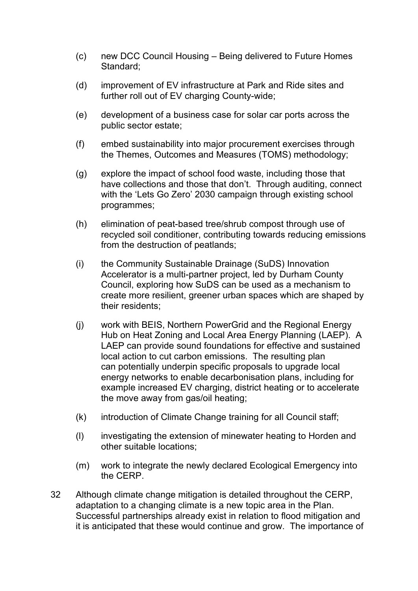- (c) new DCC Council Housing Being delivered to Future Homes Standard;
- (d) improvement of EV infrastructure at Park and Ride sites and further roll out of EV charging County-wide;
- (e) development of a business case for solar car ports across the public sector estate;
- (f) embed sustainability into major procurement exercises through the Themes, Outcomes and Measures (TOMS) methodology;
- (g) explore the impact of school food waste, including those that have collections and those that don't. Through auditing, connect with the 'Lets Go Zero' 2030 campaign through existing school programmes;
- (h) elimination of peat-based tree/shrub compost through use of recycled soil conditioner, contributing towards reducing emissions from the destruction of peatlands;
- (i) the Community Sustainable Drainage (SuDS) Innovation Accelerator is a multi-partner project, led by Durham County Council, exploring how SuDS can be used as a mechanism to create more resilient, greener urban spaces which are shaped by their residents;
- (j) work with BEIS, Northern PowerGrid and the Regional Energy Hub on Heat Zoning and Local Area Energy Planning (LAEP). A LAEP can provide sound foundations for effective and sustained local action to cut carbon emissions. The resulting plan can potentially underpin specific proposals to upgrade local energy networks to enable decarbonisation plans, including for example increased EV charging, district heating or to accelerate the move away from gas/oil heating;
- (k) introduction of Climate Change training for all Council staff;
- (l) investigating the extension of minewater heating to Horden and other suitable locations;
- (m) work to integrate the newly declared Ecological Emergency into the CERP.
- 32 Although climate change mitigation is detailed throughout the CERP, adaptation to a changing climate is a new topic area in the Plan. Successful partnerships already exist in relation to flood mitigation and it is anticipated that these would continue and grow. The importance of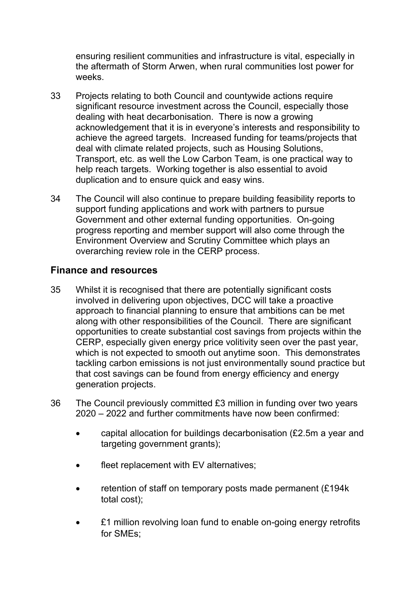ensuring resilient communities and infrastructure is vital, especially in the aftermath of Storm Arwen, when rural communities lost power for weeks.

- 33 Projects relating to both Council and countywide actions require significant resource investment across the Council, especially those dealing with heat decarbonisation. There is now a growing acknowledgement that it is in everyone's interests and responsibility to achieve the agreed targets. Increased funding for teams/projects that deal with climate related projects, such as Housing Solutions, Transport, etc. as well the Low Carbon Team, is one practical way to help reach targets. Working together is also essential to avoid duplication and to ensure quick and easy wins.
- 34 The Council will also continue to prepare building feasibility reports to support funding applications and work with partners to pursue Government and other external funding opportunities. On-going progress reporting and member support will also come through the Environment Overview and Scrutiny Committee which plays an overarching review role in the CERP process.

### **Finance and resources**

- 35 Whilst it is recognised that there are potentially significant costs involved in delivering upon objectives, DCC will take a proactive approach to financial planning to ensure that ambitions can be met along with other responsibilities of the Council. There are significant opportunities to create substantial cost savings from projects within the CERP, especially given energy price volitivity seen over the past year, which is not expected to smooth out anytime soon. This demonstrates tackling carbon emissions is not just environmentally sound practice but that cost savings can be found from energy efficiency and energy generation projects.
- 36 The Council previously committed £3 million in funding over two years 2020 – 2022 and further commitments have now been confirmed:
	- capital allocation for buildings decarbonisation (£2.5m a year and targeting government grants);
	- fleet replacement with EV alternatives;
	- retention of staff on temporary posts made permanent (£194k total cost);
	- £1 million revolving loan fund to enable on-going energy retrofits for SMEs;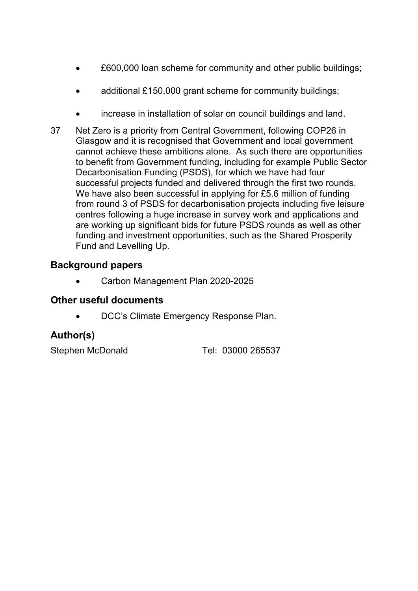- £600,000 loan scheme for community and other public buildings;
- additional £150,000 grant scheme for community buildings;
- increase in installation of solar on council buildings and land.
- 37 Net Zero is a priority from Central Government, following COP26 in Glasgow and it is recognised that Government and local government cannot achieve these ambitions alone. As such there are opportunities to benefit from Government funding, including for example Public Sector Decarbonisation Funding (PSDS), for which we have had four successful projects funded and delivered through the first two rounds. We have also been successful in applying for £5.6 million of funding from round 3 of PSDS for decarbonisation projects including five leisure centres following a huge increase in survey work and applications and are working up significant bids for future PSDS rounds as well as other funding and investment opportunities, such as the Shared Prosperity Fund and Levelling Up.

# **Background papers**

Carbon Management Plan 2020-2025

#### **Other useful documents**

DCC's Climate Emergency Response Plan.

# **Author(s)**

Stephen McDonald Tel: 03000 265537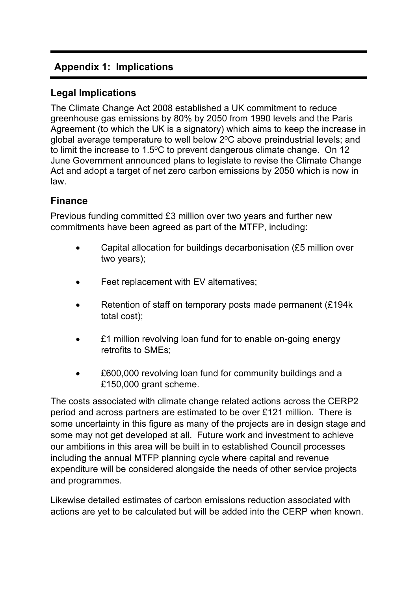# **Appendix 1: Implications**

# **Legal Implications**

The Climate Change Act 2008 established a UK commitment to reduce greenhouse gas emissions by 80% by 2050 from 1990 levels and the Paris Agreement (to which the UK is a signatory) which aims to keep the increase in global average temperature to well below 2°C above preindustrial levels; and to limit the increase to  $1.5^{\circ}$ C to prevent dangerous climate change. On 12 June Government announced plans to legislate to revise the Climate Change Act and adopt a target of net zero carbon emissions by 2050 which is now in law.

# **Finance**

Previous funding committed £3 million over two years and further new commitments have been agreed as part of the MTFP, including:

- Capital allocation for buildings decarbonisation (£5 million over two years);
- Feet replacement with EV alternatives;
- Retention of staff on temporary posts made permanent (£194k total cost);
- £1 million revolving loan fund for to enable on-going energy retrofits to SMEs;
- £600,000 revolving loan fund for community buildings and a £150,000 grant scheme.

The costs associated with climate change related actions across the CERP2 period and across partners are estimated to be over £121 million. There is some uncertainty in this figure as many of the projects are in design stage and some may not get developed at all. Future work and investment to achieve our ambitions in this area will be built in to established Council processes including the annual MTFP planning cycle where capital and revenue expenditure will be considered alongside the needs of other service projects and programmes.

Likewise detailed estimates of carbon emissions reduction associated with actions are yet to be calculated but will be added into the CERP when known.